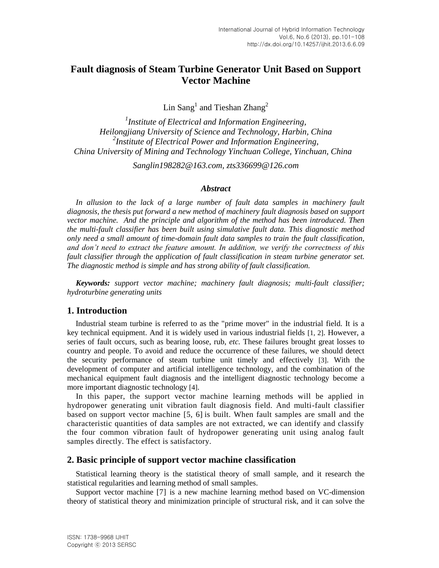# **Fault diagnosis of Steam Turbine Generator Unit Based on Support Vector Machine**

Lin Sang<sup>1</sup> and Tieshan Zhang<sup>2</sup>

*1 Institute of Electrical and Information Engineering, Heilongjiang University of Science and Technology, Harbin, China 2 Institute of Electrical Power and Information Engineering, China University of Mining and Technology Yinchuan College, Yinchuan, China*

*Sanglin198282@163.com, zts336699@126.com*

### *Abstract*

In allusion to the lack of a large number of fault data samples in machinery fault *diagnosis, the thesis put forward a new method of machinery fault diagnosis based on support*  vector machine. And the principle and algorithm of the method has been introduced. Then *the multi-fault classifier has been built using simulative fault data. This diagnostic method only need a small amount of time-domain fault data samples to train the fault classification, and don't need to extract the feature amount. In addition, we verify the correctness of this fault classifier through the application of fault classification in steam turbine generator set. The diagnostic method is simple and has strong ability of fault classification.* 

*Keywords: support vector machine; machinery fault diagnosis; multi-fault classifier; hydroturbine generating units*

# **1. Introduction**

Industrial steam turbine is referred to as the "prime mover" in the industrial field. It is a key technical equipment. And it is widely used in various industrial fields [1, 2]. However, a series of fault occurs, such as bearing loose, rub, *etc.* These failures brought great losses to country and people. To avoid and reduce the occurrence of these failures, we should detect the security performance of steam turbine unit timely and effectively [3]. With the development of computer and artificial intelligence technology, and the combination of the mechanical equipment fault diagnosis and the intelligent diagnostic technology become a more important diagnostic technology [4].

In this paper, the support vector machine learning methods will be applied in hydropower generating unit vibration fault diagnosis field. And multi-fault classifier based on support vector machine [5, 6] is built. When fault samples are small and the characteristic quantities of data samples are not extracted, we can identify and classify the four common vibration fault of hydropower generating unit using analog fault samples directly. The effect is satisfactory.

### **2. Basic principle of support vector machine classification**

Statistical learning theory is the statistical theory of small sample, and it research the statistical regularities and learning method of small samples.

Support vector machine [7] is a new machine learning method based on VC-dimension theory of statistical theory and minimization principle of structural risk, and it can solve the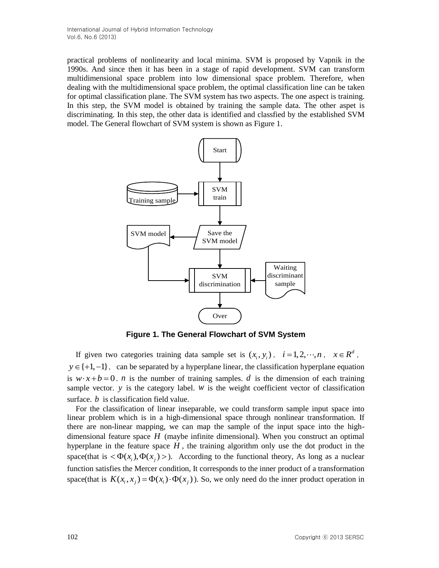practical problems of nonlinearity and local minima. SVM is proposed by Vapnik in the 1990s. And since then it has been in a stage of rapid development. SVM can transform multidimensional space problem into low dimensional space problem. Therefore, when dealing with the multidimensional space problem, the optimal classification line can be taken for optimal classification plane. The SVM system has two aspects. The one aspect is training. In this step, the SVM model is obtained by training the sample data. The other aspet is discriminating. In this step, the other data is identified and classfied by the established SVM model. The General flowchart of SVM system is shown as Figure 1.



**Figure 1. The General Flowchart of SVM System**

If given two categories training data sample set is  $(x_i, y_i)$ ,  $i = 1, 2, \dots, n$ ,  $x \in R^d$ ,  $y \in \{+1, -1\}$ , can be separated by a hyperplane linear, the classification hyperplane equation is  $w \cdot x + b = 0$ . *n* is the number of training samples. *d* is the dimension of each training sample vector.  $y$  is the category label.  $w$  is the weight coefficient vector of classification surface. *b* is classification field value.

For the classification of linear inseparable, we could transform sample input space into linear problem which is in a high-dimensional space through nonlinear transformation. If there are non-linear mapping, we can map the sample of the input space into the highdimensional feature space *H* (maybe infinite dimensional). When you construct an optimal hyperplane in the feature space  $H$ , the training algorithm only use the dot product in the space(that is  $\langle \Phi(x_i), \Phi(x_j) \rangle$ ). According to the functional theory, As long as a nuclear function satisfies the Mercer condition, It corresponds to the inner product of a transformation space(that is  $K(x_i, x_j) = \Phi(x_i) \cdot \Phi(x_j)$ ). So, we only need do the inner product operation in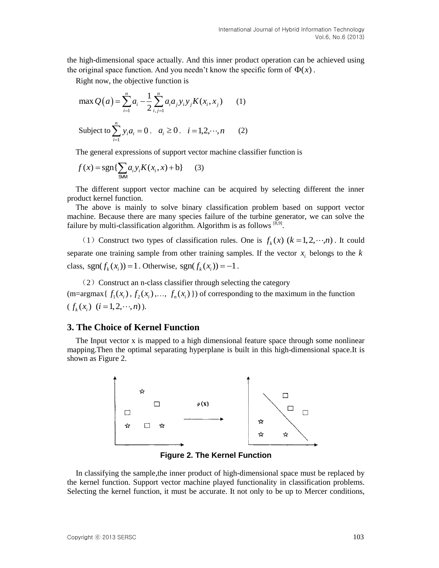the high-dimensional space actually. And this inner product operation can be achieved using the original space function. And you needn't know the specific form of  $\Phi(x)$ .

Right now, the objective function is  
\n
$$
\max Q(a) = \sum_{i=1}^{n} a_i - \frac{1}{2} \sum_{i,j=1}^{n} a_i a_j y_i y_j K(x_i, x_j)
$$
\n(1)  
\nSubject to 
$$
\sum_{i=1}^{n} y_i a_i = 0, \quad a_i \ge 0, \quad i = 1, 2, \dots, n
$$
\n(2)

The general expressions of support vector machine classifier function is

$$
f(x) = \text{sgn}\{\sum_{s \le M} a_i y_i K(x_i, x) + b\} \tag{3}
$$

The different support vector machine can be acquired by selecting different the inner product kernel function.

The above is mainly to solve binary classification problem based on support vector machine. Because there are many species failure of the turbine generator, we can solve the failure by multi-classification algorithm. Algorithm is as follows [8,9].

(1) Construct two types of classification rules. One is  $f_k(x)$  ( $k = 1, 2, \dots, n$ ). It could separate one training sample from other training samples. If the vector  $x_i$  belongs to the  $k$ class,  $sgn(f_k(x_i)) = 1$ . Otherwise,  $sgn(f_k(x_i)) = -1$ .

 $(2)$  Construct an n-class classifier through selecting the category  $(m=\argmax\{f_1(x_i), f_2(x_i),..., f_n(x_i)\})$  of corresponding to the maximum in the function  $(f_k(x_i)$   $(i=1,2,\dots,n)).$ 

# **3. The Choice of Kernel Function**

The Input vector x is mapped to a high dimensional feature space through some nonlinear mapping.Then the optimal separating hyperplane is built in this high-dimensional space.It is shown as Figure 2.



**Figure 2. The Kernel Function**

In classifying the sample,the inner product of high-dimensional space must be replaced by the kernel function. Support vector machine played functionality in classification problems. Selecting the kernel function, it must be accurate. It not only to be up to Mercer conditions,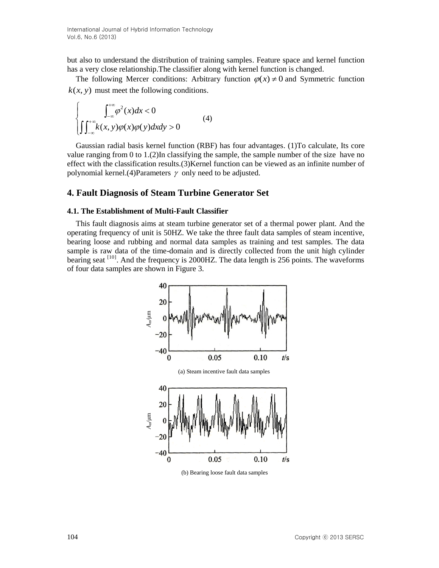but also to understand the distribution of training samples. Feature space and kernel function has a very close relationship.The classifier along with kernel function is changed.

The following Mercer conditions: Arbitrary function  $\varphi(x) \neq 0$  and Symmetric function  $k(x, y)$  must meet the following conditions.

$$
\int_{-\infty}^{+\infty} \int_{-\infty}^{+\infty} \varphi^2(x) dx < 0
$$
\n(4)\n
$$
\int_{-\infty}^{+\infty} k(x, y) \varphi(x) \varphi(y) dx dy > 0
$$

Gaussian radial basis kernel function (RBF) has four advantages. (1)To calculate, Its core value ranging from 0 to 1.(2)In classifying the sample, the sample number of the size have no effect with the classification results.(3)Kernel function can be viewed as an infinite number of polynomial kernel.(4)Parameters  $\gamma$  only need to be adjusted.

### **4. Fault Diagnosis of Steam Turbine Generator Set**

#### **4.1. The Establishment of Multi-Fault Classifier**

This fault diagnosis aims at steam turbine generator set of a thermal power plant. And the operating frequency of unit is 50HZ. We take the three fault data samples of steam incentive, bearing loose and rubbing and normal data samples as training and test samples. The data sample is raw data of the time-domain and is directly collected from the unit high cylinder bearing seat  $^{[10]}$ . And the frequency is 2000HZ. The data length is 256 points. The waveforms of four data samples are shown in Figure 3.



(b) Bearing loose fault data samples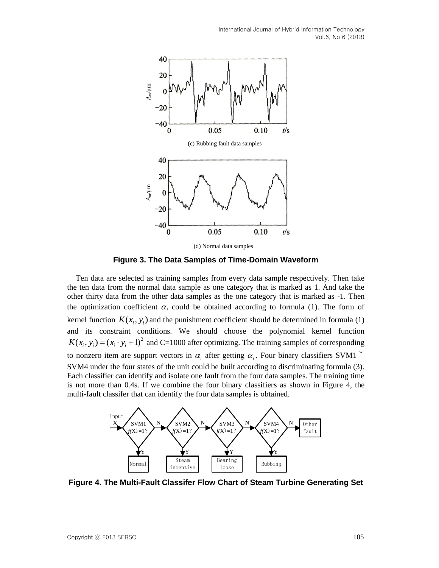

(d) Normal data samples

**Figure 3. The Data Samples of Time-Domain Waveform**

Ten data are selected as training samples from every data sample respectively. Then take the ten data from the normal data sample as one category that is marked as 1. And take the other thirty data from the other data samples as the one category that is marked as -1. Then the optimization coefficient  $\alpha_i$  could be obtained according to formula (1). The form of kernel function  $K(x_i, y_i)$  and the punishment coefficient should be determined in formula (1) and its constraint conditions. We should choose the polynomial kernel function  $K(x_i, y_i) = (x_i \cdot y_i + 1)^2$  and C=1000 after optimizing. The training samples of corresponding to nonzero item are support vectors in  $\alpha_i$  after getting  $\alpha_i$ . Four binary classifiers SVM1  $\tilde{ }$ SVM4 under the four states of the unit could be built according to discriminating formula (3). Each classifier can identify and isolate one fault from the four data samples. The training time is not more than 0.4s. If we combine the four binary classifiers as shown in Figure 4, the multi-fault classifer that can identify the four data samples is obtained.



**Figure 4. The Multi-Fault Classifer Flow Chart of Steam Turbine Generating Set**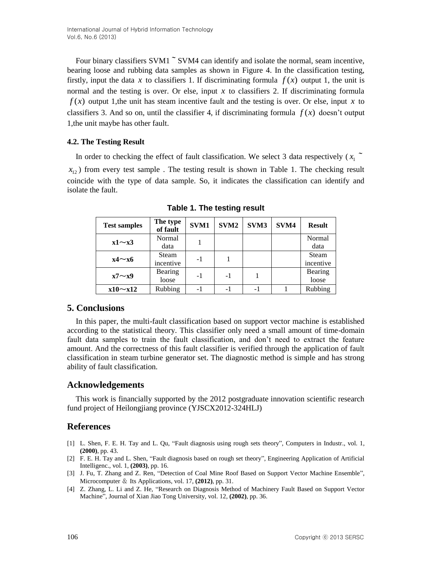Four binary classifiers  $SVM1$ <sup> $\sim$ </sup>  $SVM4$  can identify and isolate the normal, seam incentive, bearing loose and rubbing data samples as shown in Figure 4. In the classification testing, firstly, input the data x to classifiers 1. If discriminating formula  $f(x)$  output 1, the unit is normal and the testing is over. Or else, input  $x$  to classifiers 2. If discriminating formula  $f(x)$  output 1, the unit has steam incentive fault and the testing is over. Or else, input x to classifiers 3. And so on, until the classifier 4, if discriminating formula  $f(x)$  doesn't output 1,the unit maybe has other fault.

### **4.2. The Testing Result**

In order to checking the effect of fault classification. We select 3 data respectively  $(x_1$ <sup> $\sim$ </sup>

 $x_{12}$ ) from every test sample. The testing result is shown in Table 1. The checking result coincide with the type of data sample. So, it indicates the classification can identify and isolate the fault.

| <b>Test samples</b> | The type<br>of fault | SVM1 | SVM <sub>2</sub> | SVM3 | SVM4 | <b>Result</b> |
|---------------------|----------------------|------|------------------|------|------|---------------|
| $x1 \sim x3$        | Normal               |      |                  |      |      | Normal        |
|                     | data                 |      |                  |      |      | data          |
| $x4 \sim x6$        | <b>Steam</b>         | $-1$ |                  |      |      | Steam         |
|                     | incentive            |      |                  |      |      | incentive     |
| $x7 \sim x9$        | Bearing              | $-1$ | $-1$             |      |      | Bearing       |
|                     | loose                |      |                  |      |      | loose         |
| $x10 \sim x12$      | Rubbing              | $-1$ |                  | -1   |      | Rubbing       |

**Table 1. The testing result**

# **5. Conclusions**

In this paper, the multi-fault classification based on support vector machine is established according to the statistical theory. This classifier only need a small amount of time-domain fault data samples to train the fault classification, and don't need to extract the feature amount. And the correctness of this fault classifier is verified through the application of fault classification in steam turbine generator set. The diagnostic method is simple and has strong ability of fault classification.

# **Acknowledgements**

This work is financially supported by the 2012 postgraduate innovation scientific research fund project of Heilongjiang province (YJSCX2012-324HLJ)

# **References**

- [1] L. Shen, F. E. H. Tay and L. Qu, "Fault diagnosis using rough sets theory", Computers in Industr., vol. 1, **(2000)**, pp. 43.
- [2] F. E. H. Tay and L. Shen, "Fault diagnosis based on rough set theory", Engineering Application of Artificial Intelligenc., vol. 1, **(2003)**, pp. 16.
- [3] J. Fu, T. Zhang and Z. Ren, "Detection of Coal Mine Roof Based on Support Vector Machine Ensemble", Microcomputer & Its Applications, vol. 17, **(2012)**, pp. 31.
- [4] Z. Zhang, L. Li and Z. He, "Research on Diagnosis Method of Machinery Fault Based on Support Vector Machine", Journal of Xian Jiao Tong University, vol. 12, **(2002)**, pp. 36.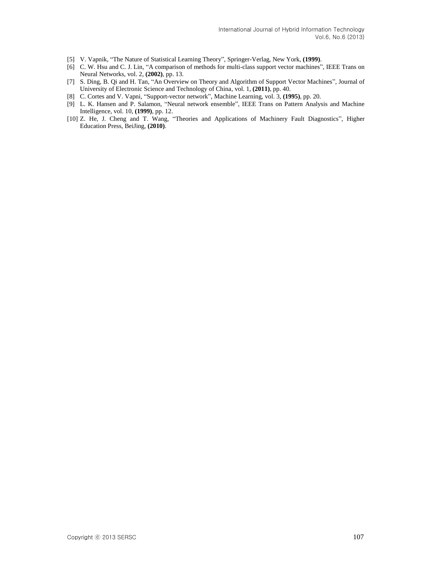- [5] V. Vapnik, "The Nature of Statistical Learning Theory", Springer-Verlag, New York, **(1999)**.
- [6] C. W. Hsu and C. J. Lin, "A comparison of methods for multi-class support vector machines", IEEE Trans on Neural Networks, vol. 2, **(2002)**, pp. 13.
- [7] S. Ding, B. Qi and H. Tan, "An Overview on Theory and Algorithm of Support Vector Machines", Journal of University of Electronic Science and Technology of China, vol. 1, **(2011)**, pp. 40.
- [8] C. Cortes and V. Vapni, "Support-vector network", Machine Learning, vol. 3, **(1995)**, pp. 20.
- [9] L. K. Hansen and P. Salamon, "Neural network ensemble", IEEE Trans on Pattern Analysis and Machine Intelligence, vol. 10, **(1999)**, pp. 12.
- [10] Z. He, J. Cheng and T. Wang, "Theories and Applications of Machinery Fault Diagnostics", Higher Education Press, BeiJing, **(2010)**.